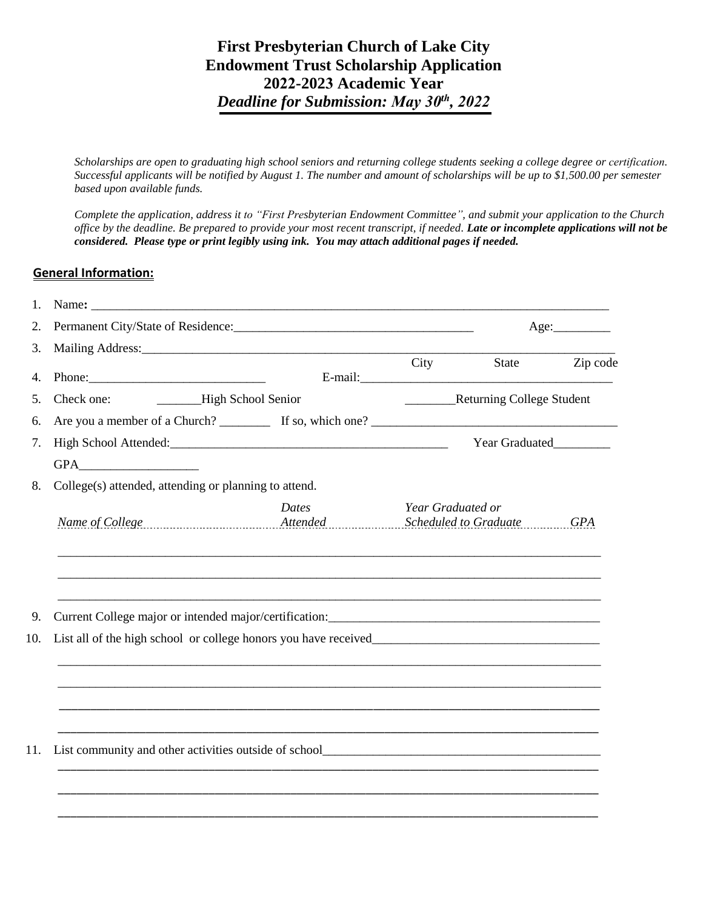## **First Presbyterian Church of Lake City Endowment Trust Scholarship Application 2022-2023 Academic Year** *Deadline for Submission: May 30<sup>t</sup><sup>h</sup> , 2022*

*Scholarships are open to graduating high school seniors and returning college students seeking a college degree or certification. Successful applicants will be notified by August 1. The number and amount of scholarships will be up to \$1,500.00 per semester based upon available funds.* 

*Complete the application, address it to "First Presbyterian Endowment Committee", and submit your application to the Church office by the deadline. Be prepared to provide your most recent transcript, if needed. Late or incomplete applications will not be considered. Please type or print legibly using ink. You may attach additional pages if needed.* 

## **General Information:**

|                                                       |                                                                                                                                                                                                                                |                   | Age:                                   |          |  |
|-------------------------------------------------------|--------------------------------------------------------------------------------------------------------------------------------------------------------------------------------------------------------------------------------|-------------------|----------------------------------------|----------|--|
|                                                       | Mailing Address: Mailing Address: Mailing Address: Mailing Address: Mailing Address: Mailing Address: Mailing Address: Mailing Address: Mailing Address: Mailing Address: Mailing Address: Mailing Address: Mailing Address: M |                   |                                        |          |  |
|                                                       |                                                                                                                                                                                                                                |                   | City State                             | Zip code |  |
| Check one:                                            | High School Senior                                                                                                                                                                                                             |                   | _____________Returning College Student |          |  |
|                                                       |                                                                                                                                                                                                                                |                   |                                        |          |  |
|                                                       |                                                                                                                                                                                                                                |                   | Year Graduated_________                |          |  |
|                                                       |                                                                                                                                                                                                                                |                   |                                        |          |  |
| College(s) attended, attending or planning to attend. |                                                                                                                                                                                                                                |                   |                                        |          |  |
|                                                       | Dates<br>Name of College GPA (GPA) Attended Scheduled to Graduate GPA                                                                                                                                                          | Year Graduated or |                                        |          |  |
|                                                       |                                                                                                                                                                                                                                |                   |                                        |          |  |
|                                                       |                                                                                                                                                                                                                                |                   |                                        |          |  |
|                                                       |                                                                                                                                                                                                                                |                   |                                        |          |  |
|                                                       |                                                                                                                                                                                                                                |                   |                                        |          |  |
|                                                       |                                                                                                                                                                                                                                |                   |                                        |          |  |
|                                                       |                                                                                                                                                                                                                                |                   |                                        |          |  |
|                                                       |                                                                                                                                                                                                                                |                   |                                        |          |  |
|                                                       | List community and other activities outside of school____________________________                                                                                                                                              |                   |                                        |          |  |
|                                                       |                                                                                                                                                                                                                                |                   |                                        |          |  |
|                                                       |                                                                                                                                                                                                                                |                   |                                        |          |  |
|                                                       |                                                                                                                                                                                                                                |                   |                                        |          |  |